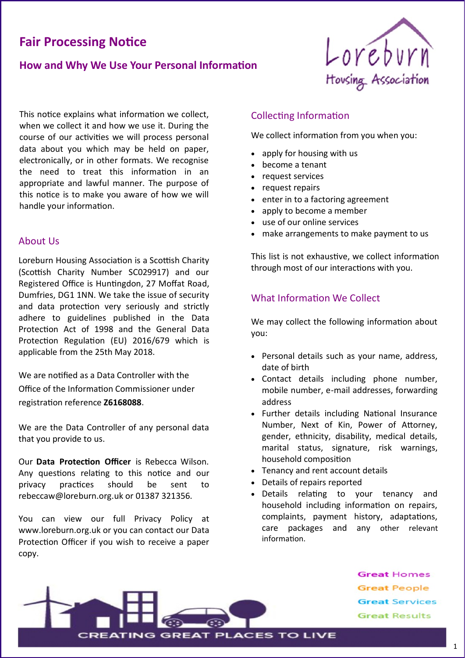# **Fair Processing Notice**

# **How and Why We Use Your Personal Information**



This notice explains what information we collect, when we collect it and how we use it. During the course of our activities we will process personal data about you which may be held on paper, electronically, or in other formats. We recognise the need to treat this information in an appropriate and lawful manner. The purpose of this notice is to make you aware of how we will handle your information.

## About Us

Loreburn Housing Association is a Scottish Charity (Scottish Charity Number SC029917) and our Registered Office is Huntingdon, 27 Moffat Road, Dumfries, DG1 1NN. We take the issue of security and data protection very seriously and strictly adhere to guidelines published in the Data Protection Act of 1998 and the General Data Protection Regulation (EU) 2016/679 which is applicable from the 25th May 2018.

We are notified as a Data Controller with the Office of the Information Commissioner under registration reference **Z6168088.**

We are the Data Controller of any personal data that you provide to us.

Our **Data Protection Officer** is Rebecca Wilson. Any questions relating to this notice and our privacy practices should be sent to rebeccaw@loreburn.org.uk or 01387 321356.

You can view our full Privacy Policy at www.loreburn.org.uk or you can contact our Data Protection Officer if you wish to receive a paper copy.

## Collecting Information

We collect information from you when you:

- apply for housing with us
- become a tenant
- request services
- request repairs
- enter in to a factoring agreement
- apply to become a member
- use of our online services
- make arrangements to make payment to us

This list is not exhaustive, we collect information through most of our interactions with you.

# What Information We Collect

We may collect the following information about you:

- Personal details such as your name, address, date of birth
- Contact details including phone number, mobile number, e-mail addresses, forwarding address
- Further details including National Insurance Number, Next of Kin, Power of Attorney, gender, ethnicity, disability, medical details, marital status, signature, risk warnings, household composition
- Tenancy and rent account details
- Details of repairs reported
- Details relating to your tenancy and household including information on repairs, complaints, payment history, adaptations, care packages and any other relevant information.



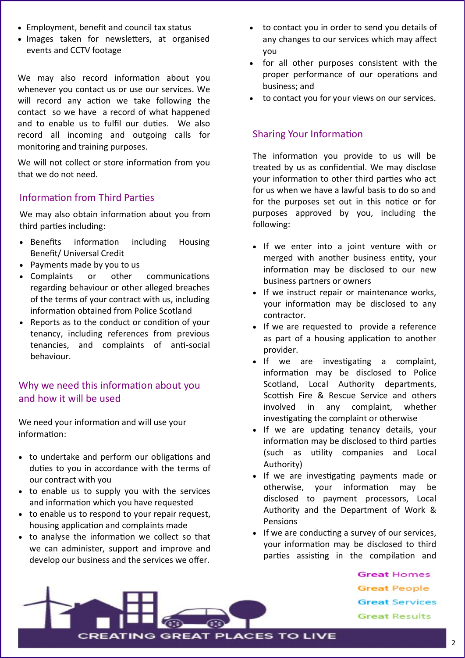- Employment, benefit and council tax status
- Images taken for newsletters, at organised events and CCTV footage

We may also record information about you whenever you contact us or use our services. We will record any action we take following the contact so we have a record of what happened and to enable us to fulfil our duties. We also record all incoming and outgoing calls for monitoring and training purposes.

We will not collect or store information from you that we do not need.

# Information from Third Parties

We may also obtain information about you from third parties including:

- Benefits information including Housing Benefit/ Universal Credit
- Payments made by you to us
- Complaints or other communications regarding behaviour or other alleged breaches of the terms of your contract with us, including information obtained from Police Scotland
- Reports as to the conduct or condition of your tenancy, including references from previous tenancies, and complaints of anti-social behaviour.

# Why we need this information about you and how it will be used

We need your information and will use your information:

- to undertake and perform our obligations and duties to you in accordance with the terms of our contract with you
- to enable us to supply you with the services and information which you have requested
- to enable us to respond to your repair request, housing application and complaints made
- to analyse the information we collect so that we can administer, support and improve and develop our business and the services we offer.
- to contact you in order to send you details of any changes to our services which may affect you
- for all other purposes consistent with the proper performance of our operations and business; and
- to contact you for your views on our services.

## Sharing Your Information

The information you provide to us will be treated by us as confidential. We may disclose your information to other third parties who act for us when we have a lawful basis to do so and for the purposes set out in this notice or for purposes approved by you, including the following:

- If we enter into a joint venture with or merged with another business entity, your information may be disclosed to our new business partners or owners
- If we instruct repair or maintenance works, your information may be disclosed to any contractor.
- If we are requested to provide a reference as part of a housing application to another provider.
- If we are investigating a complaint, information may be disclosed to Police Scotland, Local Authority departments, Scottish Fire & Rescue Service and others involved in any complaint, whether investigating the complaint or otherwise
- If we are updating tenancy details, your information may be disclosed to third parties (such as utility companies and Local Authority)
- If we are investigating payments made or otherwise, your information may be disclosed to payment processors, Local Authority and the Department of Work & Pensions
- If we are conducting a survey of our services, your information may be disclosed to third parties assisting in the compilation and

**Great Homes Great People Great Services Great Results** 

**CREATING GREAT PLACES TO LIVE**